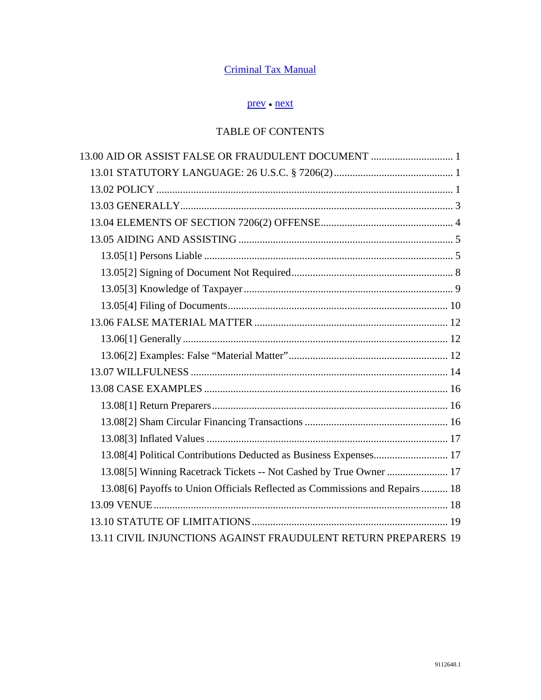# [Criminal Tax Manual](http://www.justice.gov/tax/readingroom/2008ctm/CTM%20TOC.pdf)

# [prev](http://www.justice.gov/tax/readingroom/2008ctm/CTM%20Chapter%2012.pdf) ● [next](http://www.justice.gov/tax/readingroom/2008ctm/CTM%20Chapter%2014.pdf)

# TABLE OF CONTENTS

| 13.00 AID OR ASSIST FALSE OR FRAUDULENT DOCUMENT  1                          |  |
|------------------------------------------------------------------------------|--|
|                                                                              |  |
|                                                                              |  |
|                                                                              |  |
|                                                                              |  |
|                                                                              |  |
|                                                                              |  |
|                                                                              |  |
|                                                                              |  |
|                                                                              |  |
|                                                                              |  |
|                                                                              |  |
|                                                                              |  |
|                                                                              |  |
|                                                                              |  |
|                                                                              |  |
|                                                                              |  |
|                                                                              |  |
| 13.08[4] Political Contributions Deducted as Business Expenses 17            |  |
| 13.08[5] Winning Racetrack Tickets -- Not Cashed by True Owner  17           |  |
| 13.08[6] Payoffs to Union Officials Reflected as Commissions and Repairs  18 |  |
|                                                                              |  |
|                                                                              |  |
| 13.11 CIVIL INJUNCTIONS AGAINST FRAUDULENT RETURN PREPARERS 19               |  |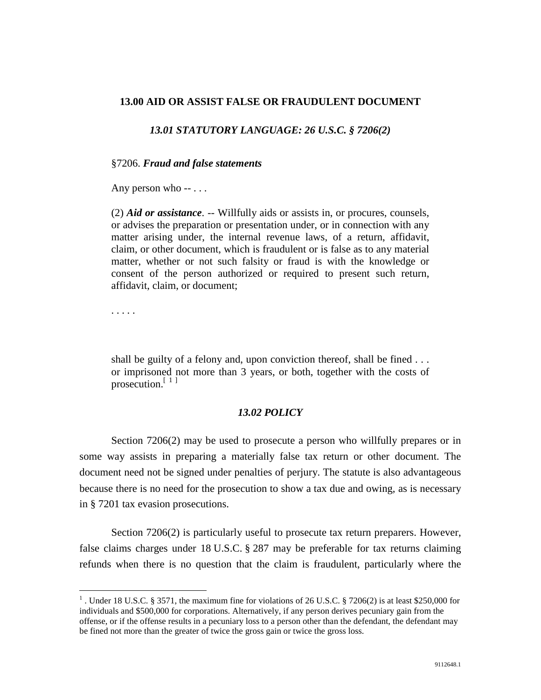### <span id="page-1-1"></span><span id="page-1-0"></span>**13.00 AID OR ASSIST FALSE OR FRAUDULENT DOCUMENT**

### *13.01 STATUTORY LANGUAGE: 26 U.S.C. § 7206(2)*

#### §7206. *Fraud and false statements*

Any person who -- . . .

(2) *Aid or assistance*. -- Willfully aids or assists in, or procures, counsels, or advises the preparation or presentation under, or in connection with any matter arising under, the internal revenue laws, of a return, affidavit, claim, or other document, which is fraudulent or is false as to any material matter, whether or not such falsity or fraud is with the knowledge or consent of the person authorized or required to present such return, affidavit, claim, or document;

. . . . .

shall be guilty of a felony and, upon conviction thereof, shall be fined . . . or imprisoned not more than 3 years, or both, together with the costs of prosecution.<sup>[[1](#page-1-3)]</sup>

## *13.02 POLICY*

<span id="page-1-2"></span> Section 7206(2) may be used to prosecute a person who willfully prepares or in some way assists in preparing a materially false tax return or other document. The document need not be signed under penalties of perjury. The statute is also advantageous because there is no need for the prosecution to show a tax due and owing, as is necessary in § 7201 tax evasion prosecutions.

 Section 7206(2) is particularly useful to prosecute tax return preparers. However, false claims charges under 18 U.S.C. § 287 may be preferable for tax returns claiming refunds when there is no question that the claim is fraudulent, particularly where the

<span id="page-1-3"></span><sup>&</sup>lt;sup>1</sup>. Under 18 U.S.C. § 3571, the maximum fine for violations of 26 U.S.C. § 7206(2) is at least \$250,000 for individuals and \$500,000 for corporations. Alternatively, if any person derives pecuniary gain from the offense, or if the offense results in a pecuniary loss to a person other than the defendant, the defendant may be fined not more than the greater of twice the gross gain or twice the gross loss.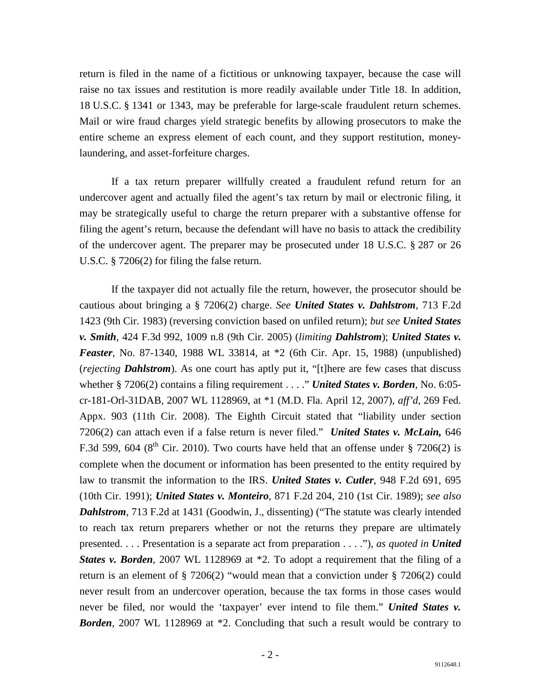return is filed in the name of a fictitious or unknowing taxpayer, because the case will raise no tax issues and restitution is more readily available under Title 18. In addition, 18 U.S.C. § 1341 or 1343, may be preferable for large-scale fraudulent return schemes. Mail or wire fraud charges yield strategic benefits by allowing prosecutors to make the entire scheme an express element of each count, and they support restitution, moneylaundering, and asset-forfeiture charges.

 If a tax return preparer willfully created a fraudulent refund return for an undercover agent and actually filed the agent's tax return by mail or electronic filing, it may be strategically useful to charge the return preparer with a substantive offense for filing the agent's return, because the defendant will have no basis to attack the credibility of the undercover agent. The preparer may be prosecuted under 18 U.S.C. § 287 or 26 U.S.C. § 7206(2) for filing the false return.

 If the taxpayer did not actually file the return, however, the prosecutor should be cautious about bringing a § 7206(2) charge. *See United States v. Dahlstrom*, 713 F.2d 1423 (9th Cir. 1983) (reversing conviction based on unfiled return); *but see United States v. Smith*, 424 F.3d 992, 1009 n.8 (9th Cir. 2005) (*limiting Dahlstrom*); *United States v. Feaster*, No. 87-1340, 1988 WL 33814, at \*2 (6th Cir. Apr. 15, 1988) (unpublished) (*rejecting Dahlstrom*). As one court has aptly put it, "[t]here are few cases that discuss whether § 7206(2) contains a filing requirement . . . ." *United States v. Borden*, No. 6:05 cr-181-Orl-31DAB, 2007 WL 1128969, at \*1 (M.D. Fla. April 12, 2007), *aff'd*, 269 Fed. Appx. 903 (11th Cir. 2008). The Eighth Circuit stated that "liability under section 7206(2) can attach even if a false return is never filed." *United States v. McLain,* 646 F.3d 599, 604 ( $8<sup>th</sup>$  Cir. 2010). Two courts have held that an offense under § 7206(2) is complete when the document or information has been presented to the entity required by law to transmit the information to the IRS. *United States v. Cutler*, 948 F.2d 691, 695 (10th Cir. 1991); *United States v. Monteiro*, 871 F.2d 204, 210 (1st Cir. 1989); *see also Dahlstrom*, 713 F.2d at 1431 (Goodwin, J., dissenting) ("The statute was clearly intended to reach tax return preparers whether or not the returns they prepare are ultimately presented. . . . Presentation is a separate act from preparation . . . ."), *as quoted in United States v. Borden*, 2007 WL 1128969 at \*2. To adopt a requirement that the filing of a return is an element of § 7206(2) "would mean that a conviction under § 7206(2) could never result from an undercover operation, because the tax forms in those cases would never be filed, nor would the 'taxpayer' ever intend to file them." *United States v. Borden*, 2007 WL 1128969 at \*2. Concluding that such a result would be contrary to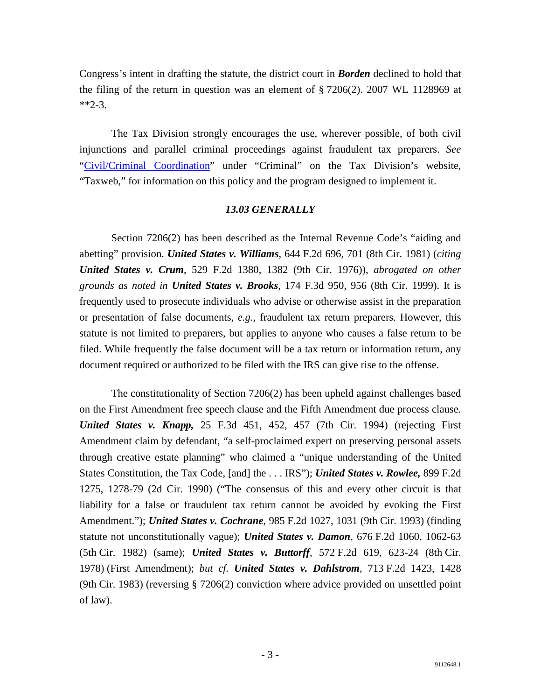Congress's intent in drafting the statute, the district court in *Borden* declined to hold that the filing of the return in question was an element of § 7206(2). 2007 WL 1128969 at  $*2-3$ .

 The Tax Division strongly encourages the use, wherever possible, of both civil injunctions and parallel criminal proceedings against fraudulent tax preparers. *See*  ["Civil/Criminal Coordination"](http://taxnet/manuals/civcrimcoord.htm) under "Criminal" on the Tax Division's website, "Taxweb," for information on this policy and the program designed to implement it.

## *13.03 GENERALLY*

<span id="page-3-0"></span> Section 7206(2) has been described as the Internal Revenue Code's "aiding and abetting" provision. *United States v. Williams*, 644 F.2d 696, 701 (8th Cir. 1981) (*citing United States v. Crum*, 529 F.2d 1380, 1382 (9th Cir. 1976)), *abrogated on other grounds as noted in United States v. Brooks*, 174 F.3d 950, 956 (8th Cir. 1999). It is frequently used to prosecute individuals who advise or otherwise assist in the preparation or presentation of false documents, *e.g.*, fraudulent tax return preparers. However, this statute is not limited to preparers, but applies to anyone who causes a false return to be filed. While frequently the false document will be a tax return or information return, any document required or authorized to be filed with the IRS can give rise to the offense.

 The constitutionality of Section 7206(2) has been upheld against challenges based on the First Amendment free speech clause and the Fifth Amendment due process clause. *United States v. Knapp,* 25 F.3d 451, 452, 457 (7th Cir. 1994) (rejecting First Amendment claim by defendant, "a self-proclaimed expert on preserving personal assets through creative estate planning" who claimed a "unique understanding of the United States Constitution, the Tax Code, [and] the . . . IRS"); *United States v. Rowlee,* 899 F.2d 1275, 1278-79 (2d Cir. 1990) ("The consensus of this and every other circuit is that liability for a false or fraudulent tax return cannot be avoided by evoking the First Amendment."); *United States v. Cochrane*, 985 F.2d 1027, 1031 (9th Cir. 1993) (finding statute not unconstitutionally vague); *United States v. Damon*, 676 F.2d 1060, 1062-63 (5th Cir. 1982) (same); *United States v. Buttorff*, 572 F.2d 619, 623-24 (8th Cir. 1978) (First Amendment); *but cf. United States v. Dahlstrom*, 713 F.2d 1423, 1428 (9th Cir. 1983) (reversing § 7206(2) conviction where advice provided on unsettled point of law).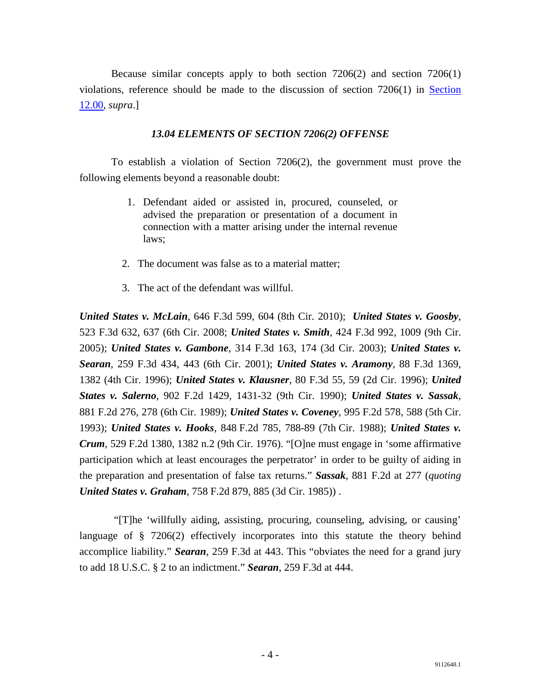Because similar concepts apply to both section 7206(2) and section 7206(1) violations, reference should be made to the discussion of section 7206(1) in [Section](http://www.justice.gov/tax/readingroom/2008ctm/CTM%20Chapter%2012.pdf)  [12.00,](http://www.justice.gov/tax/readingroom/2008ctm/CTM%20Chapter%2012.pdf) *supra*.]

## *13.04 ELEMENTS OF SECTION 7206(2) OFFENSE*

<span id="page-4-0"></span> To establish a violation of Section 7206(2), the government must prove the following elements beyond a reasonable doubt:

- 1. Defendant aided or assisted in, procured, counseled, or advised the preparation or presentation of a document in connection with a matter arising under the internal revenue laws;
- 2. The document was false as to a material matter;
- 3. The act of the defendant was willful.

*United States v. McLain*, 646 F.3d 599, 604 (8th Cir. 2010); *United States v. Goosby*, 523 F.3d 632, 637 (6th Cir. 2008; *United States v. Smith*, 424 F.3d 992, 1009 (9th Cir. 2005); *United States v. Gambone*, 314 F.3d 163, 174 (3d Cir. 2003); *United States v. Searan*, 259 F.3d 434, 443 (6th Cir. 2001); *United States v. Aramony*, 88 F.3d 1369, 1382 (4th Cir. 1996); *United States v. Klausner*, 80 F.3d 55, 59 (2d Cir. 1996); *United States v. Salerno*, 902 F.2d 1429, 1431-32 (9th Cir. 1990); *United States v. Sassak*, 881 F.2d 276, 278 (6th Cir. 1989); *United States v. Coveney*, 995 F.2d 578, 588 (5th Cir. 1993); *United States v. Hooks*, 848 F.2d 785, 788-89 (7th Cir. 1988); *United States v. Crum*, 529 F.2d 1380, 1382 n.2 (9th Cir. 1976). "[O]ne must engage in 'some affirmative participation which at least encourages the perpetrator' in order to be guilty of aiding in the preparation and presentation of false tax returns." *Sassak*, 881 F.2d at 277 (*quoting United States v. Graham*, 758 F.2d 879, 885 (3d Cir. 1985)) .

 "[T]he 'willfully aiding, assisting, procuring, counseling, advising, or causing' language of § 7206(2) effectively incorporates into this statute the theory behind accomplice liability." *Searan*, 259 F.3d at 443. This "obviates the need for a grand jury to add 18 U.S.C. § 2 to an indictment." *Searan*, 259 F.3d at 444.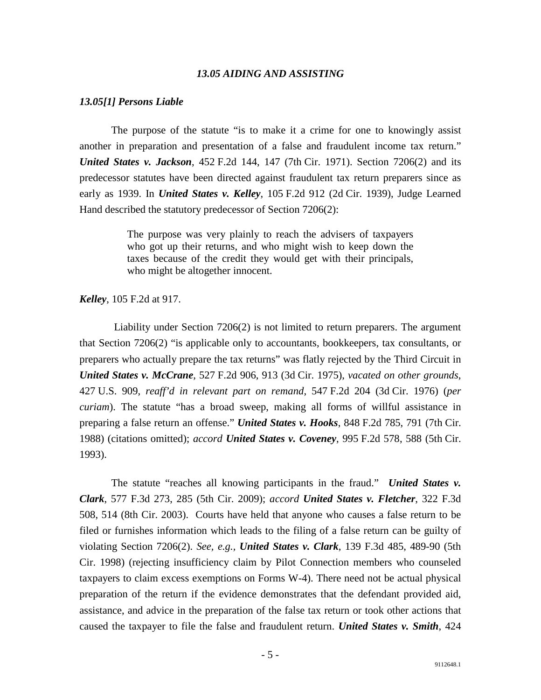#### *13.05 AIDING AND ASSISTING*

#### <span id="page-5-1"></span><span id="page-5-0"></span>*13.05[1] Persons Liable*

 The purpose of the statute "is to make it a crime for one to knowingly assist another in preparation and presentation of a false and fraudulent income tax return." *United States v. Jackson*, 452 F.2d 144, 147 (7th Cir. 1971). Section 7206(2) and its predecessor statutes have been directed against fraudulent tax return preparers since as early as 1939. In *United States v. Kelley*, 105 F.2d 912 (2d Cir. 1939), Judge Learned Hand described the statutory predecessor of Section 7206(2):

> The purpose was very plainly to reach the advisers of taxpayers who got up their returns, and who might wish to keep down the taxes because of the credit they would get with their principals, who might be altogether innocent.

#### *Kelley*, 105 F.2d at 917.

 Liability under Section 7206(2) is not limited to return preparers. The argument that Section 7206(2) "is applicable only to accountants, bookkeepers, tax consultants, or preparers who actually prepare the tax returns" was flatly rejected by the Third Circuit in *United States v. McCrane*, 527 F.2d 906, 913 (3d Cir. 1975), *vacated on other grounds*, 427 U.S. 909, *reaff'd in relevant part on remand*, 547 F.2d 204 (3d Cir. 1976) (*per curiam*). The statute "has a broad sweep, making all forms of willful assistance in preparing a false return an offense." *United States v. Hooks*, 848 F.2d 785, 791 (7th Cir. 1988) (citations omitted); *accord United States v. Coveney*, 995 F.2d 578, 588 (5th Cir. 1993).

 The statute "reaches all knowing participants in the fraud." *United States v. Clark*, 577 F.3d 273, 285 (5th Cir. 2009); *accord United States v. Fletcher*, 322 F.3d 508, 514 (8th Cir. 2003). Courts have held that anyone who causes a false return to be filed or furnishes information which leads to the filing of a false return can be guilty of violating Section 7206(2). *See, e.g., United States v. Clark*, 139 F.3d 485, 489-90 (5th Cir. 1998) (rejecting insufficiency claim by Pilot Connection members who counseled taxpayers to claim excess exemptions on Forms W-4). There need not be actual physical preparation of the return if the evidence demonstrates that the defendant provided aid, assistance, and advice in the preparation of the false tax return or took other actions that caused the taxpayer to file the false and fraudulent return. *United States v. Smith*, 424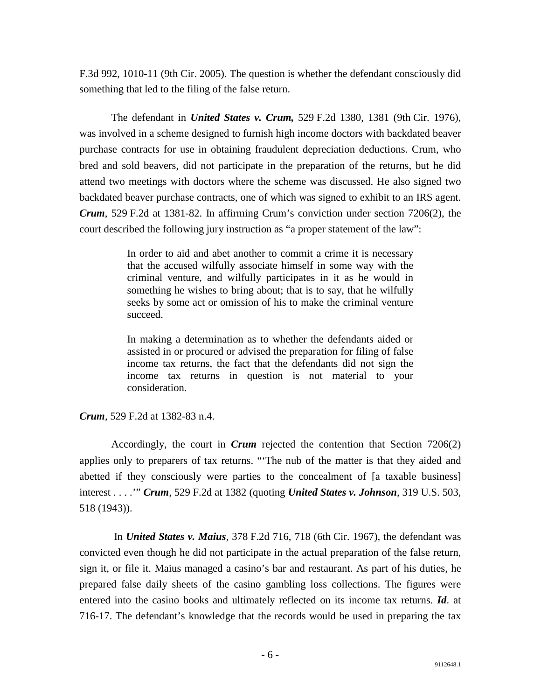F.3d 992, 1010-11 (9th Cir. 2005). The question is whether the defendant consciously did something that led to the filing of the false return.

 The defendant in *United States v. Crum,* 529 F.2d 1380, 1381 (9th Cir. 1976), was involved in a scheme designed to furnish high income doctors with backdated beaver purchase contracts for use in obtaining fraudulent depreciation deductions. Crum, who bred and sold beavers, did not participate in the preparation of the returns, but he did attend two meetings with doctors where the scheme was discussed. He also signed two backdated beaver purchase contracts, one of which was signed to exhibit to an IRS agent. *Crum*, 529 F.2d at 1381-82. In affirming Crum's conviction under section 7206(2), the court described the following jury instruction as "a proper statement of the law":

> In order to aid and abet another to commit a crime it is necessary that the accused wilfully associate himself in some way with the criminal venture, and wilfully participates in it as he would in something he wishes to bring about; that is to say, that he wilfully seeks by some act or omission of his to make the criminal venture succeed.

> In making a determination as to whether the defendants aided or assisted in or procured or advised the preparation for filing of false income tax returns, the fact that the defendants did not sign the income tax returns in question is not material to your consideration.

*Crum*, 529 F.2d at 1382-83 n.4.

 Accordingly, the court in *Crum* rejected the contention that Section 7206(2) applies only to preparers of tax returns. "'The nub of the matter is that they aided and abetted if they consciously were parties to the concealment of [a taxable business] interest . . . .'" *Crum*, 529 F.2d at 1382 (quoting *United States v. Johnson*, 319 U.S. 503, 518 (1943)).

 In *United States v. Maius*, 378 F.2d 716, 718 (6th Cir. 1967), the defendant was convicted even though he did not participate in the actual preparation of the false return, sign it, or file it. Maius managed a casino's bar and restaurant. As part of his duties, he prepared false daily sheets of the casino gambling loss collections. The figures were entered into the casino books and ultimately reflected on its income tax returns. *Id*. at 716-17. The defendant's knowledge that the records would be used in preparing the tax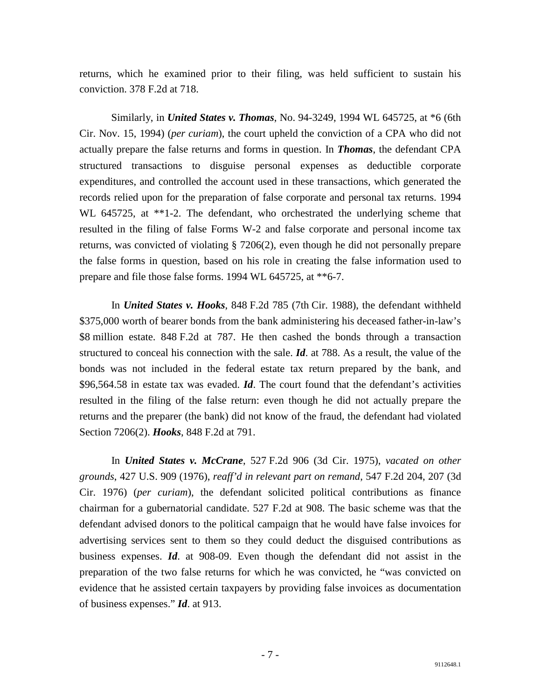returns, which he examined prior to their filing, was held sufficient to sustain his conviction. 378 F.2d at 718.

 Similarly, in *United States v. Thomas*, No. 94-3249, 1994 WL 645725, at \*6 (6th Cir. Nov. 15, 1994) (*per curiam*), the court upheld the conviction of a CPA who did not actually prepare the false returns and forms in question. In *Thomas*, the defendant CPA structured transactions to disguise personal expenses as deductible corporate expenditures, and controlled the account used in these transactions, which generated the records relied upon for the preparation of false corporate and personal tax returns. 1994 WL 645725, at \*\*1-2. The defendant, who orchestrated the underlying scheme that resulted in the filing of false Forms W-2 and false corporate and personal income tax returns, was convicted of violating § 7206(2), even though he did not personally prepare the false forms in question, based on his role in creating the false information used to prepare and file those false forms. 1994 WL 645725, at \*\*6-7.

 In *United States v. Hooks*, 848 F.2d 785 (7th Cir. 1988), the defendant withheld \$375,000 worth of bearer bonds from the bank administering his deceased father-in-law's \$8 million estate. 848 F.2d at 787. He then cashed the bonds through a transaction structured to conceal his connection with the sale. *Id*. at 788. As a result, the value of the bonds was not included in the federal estate tax return prepared by the bank, and \$96,564.58 in estate tax was evaded. *Id*. The court found that the defendant's activities resulted in the filing of the false return: even though he did not actually prepare the returns and the preparer (the bank) did not know of the fraud, the defendant had violated Section 7206(2). *Hooks*, 848 F.2d at 791.

 In *United States v. McCrane*, 527 F.2d 906 (3d Cir. 1975), *vacated on other grounds*, 427 U.S. 909 (1976), *reaff'd in relevant part on remand*, 547 F.2d 204, 207 (3d Cir. 1976) (*per curiam*), the defendant solicited political contributions as finance chairman for a gubernatorial candidate. 527 F.2d at 908. The basic scheme was that the defendant advised donors to the political campaign that he would have false invoices for advertising services sent to them so they could deduct the disguised contributions as business expenses. *Id*. at 908-09. Even though the defendant did not assist in the preparation of the two false returns for which he was convicted, he "was convicted on evidence that he assisted certain taxpayers by providing false invoices as documentation of business expenses." *Id*. at 913.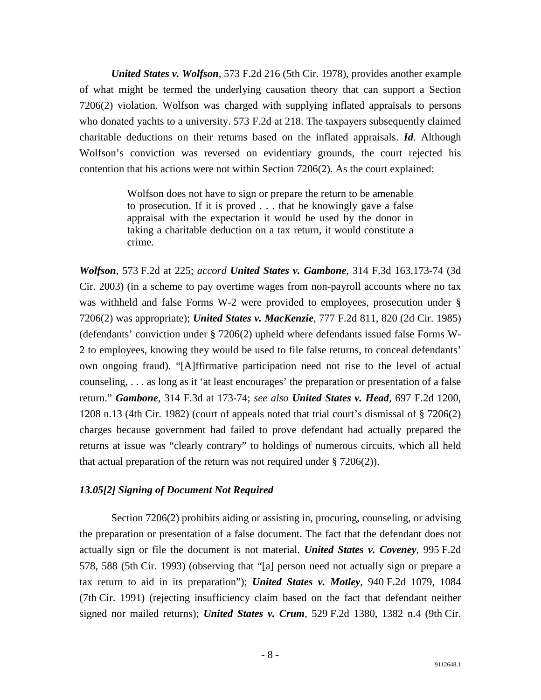*United States v. Wolfson*, 573 F.2d 216 (5th Cir. 1978), provides another example of what might be termed the underlying causation theory that can support a Section 7206(2) violation. Wolfson was charged with supplying inflated appraisals to persons who donated yachts to a university. 573 F.2d at 218. The taxpayers subsequently claimed charitable deductions on their returns based on the inflated appraisals. *Id*. Although Wolfson's conviction was reversed on evidentiary grounds, the court rejected his contention that his actions were not within Section 7206(2). As the court explained:

> Wolfson does not have to sign or prepare the return to be amenable to prosecution. If it is proved . . . that he knowingly gave a false appraisal with the expectation it would be used by the donor in taking a charitable deduction on a tax return, it would constitute a crime.

*Wolfson*, 573 F.2d at 225; *accord United States v. Gambone*, 314 F.3d 163,173-74 (3d Cir. 2003) (in a scheme to pay overtime wages from non-payroll accounts where no tax was withheld and false Forms W-2 were provided to employees, prosecution under § 7206(2) was appropriate); *United States v. MacKenzie*, 777 F.2d 811, 820 (2d Cir. 1985) (defendants' conviction under § 7206(2) upheld where defendants issued false Forms W-2 to employees, knowing they would be used to file false returns, to conceal defendants' own ongoing fraud). "[A]ffirmative participation need not rise to the level of actual counseling, . . . as long as it 'at least encourages' the preparation or presentation of a false return." *Gambone*, 314 F.3d at 173-74; *see also United States v. Head*, 697 F.2d 1200, 1208 n.13 (4th Cir. 1982) (court of appeals noted that trial court's dismissal of § 7206(2) charges because government had failed to prove defendant had actually prepared the returns at issue was "clearly contrary" to holdings of numerous circuits, which all held that actual preparation of the return was not required under  $\S 7206(2)$ ).

## <span id="page-8-0"></span>*13.05[2] Signing of Document Not Required*

 Section 7206(2) prohibits aiding or assisting in, procuring, counseling, or advising the preparation or presentation of a false document. The fact that the defendant does not actually sign or file the document is not material. *United States v. Coveney*, 995 F.2d 578, 588 (5th Cir. 1993) (observing that "[a] person need not actually sign or prepare a tax return to aid in its preparation"); *United States v. Motley*, 940 F.2d 1079, 1084 (7th Cir. 1991) (rejecting insufficiency claim based on the fact that defendant neither signed nor mailed returns); *United States v. Crum*, 529 F.2d 1380, 1382 n.4 (9th Cir.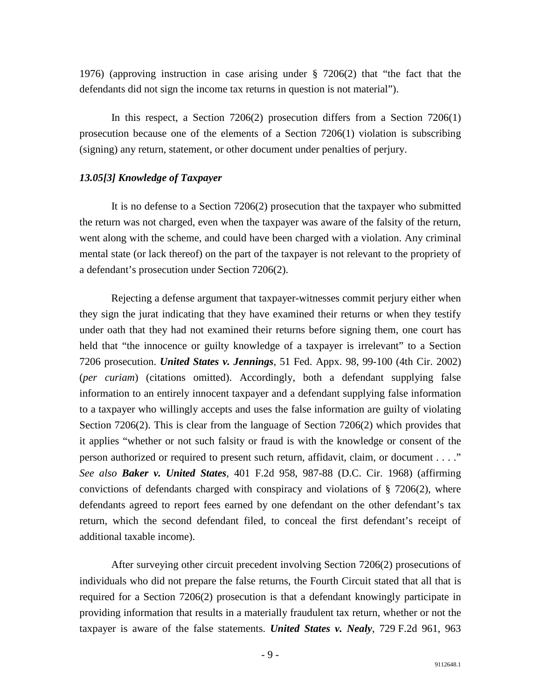1976) (approving instruction in case arising under § 7206(2) that "the fact that the defendants did not sign the income tax returns in question is not material").

 In this respect, a Section 7206(2) prosecution differs from a Section 7206(1) prosecution because one of the elements of a Section 7206(1) violation is subscribing (signing) any return, statement, or other document under penalties of perjury.

### <span id="page-9-0"></span>*13.05[3] Knowledge of Taxpayer*

 It is no defense to a Section 7206(2) prosecution that the taxpayer who submitted the return was not charged, even when the taxpayer was aware of the falsity of the return, went along with the scheme, and could have been charged with a violation. Any criminal mental state (or lack thereof) on the part of the taxpayer is not relevant to the propriety of a defendant's prosecution under Section 7206(2).

 Rejecting a defense argument that taxpayer-witnesses commit perjury either when they sign the jurat indicating that they have examined their returns or when they testify under oath that they had not examined their returns before signing them, one court has held that "the innocence or guilty knowledge of a taxpayer is irrelevant" to a Section 7206 prosecution. *United States v. Jennings*, 51 Fed. Appx. 98, 99-100 (4th Cir. 2002) (*per curiam*) (citations omitted). Accordingly, both a defendant supplying false information to an entirely innocent taxpayer and a defendant supplying false information to a taxpayer who willingly accepts and uses the false information are guilty of violating Section 7206(2). This is clear from the language of Section 7206(2) which provides that it applies "whether or not such falsity or fraud is with the knowledge or consent of the person authorized or required to present such return, affidavit, claim, or document . . . ." *See also Baker v. United States*, 401 F.2d 958, 987-88 (D.C. Cir. 1968) (affirming convictions of defendants charged with conspiracy and violations of § 7206(2), where defendants agreed to report fees earned by one defendant on the other defendant's tax return, which the second defendant filed, to conceal the first defendant's receipt of additional taxable income).

 After surveying other circuit precedent involving Section 7206(2) prosecutions of individuals who did not prepare the false returns, the Fourth Circuit stated that all that is required for a Section 7206(2) prosecution is that a defendant knowingly participate in providing information that results in a materially fraudulent tax return, whether or not the taxpayer is aware of the false statements. *United States v. Nealy*, 729 F.2d 961, 963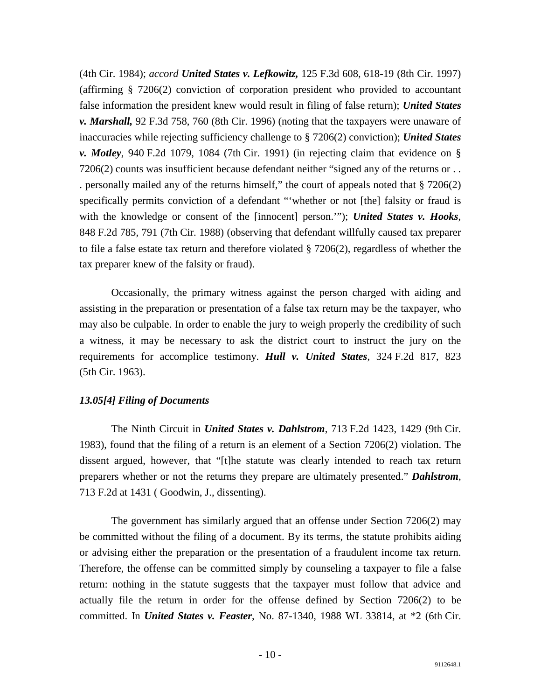(4th Cir. 1984); *accord United States v. Lefkowitz,* 125 F.3d 608, 618-19 (8th Cir. 1997) (affirming § 7206(2) conviction of corporation president who provided to accountant false information the president knew would result in filing of false return); *United States v. Marshall,* 92 F.3d 758, 760 (8th Cir. 1996) (noting that the taxpayers were unaware of inaccuracies while rejecting sufficiency challenge to § 7206(2) conviction); *United States v. Motley*, 940 F.2d 1079, 1084 (7th Cir. 1991) (in rejecting claim that evidence on § 7206(2) counts was insufficient because defendant neither "signed any of the returns or . . . personally mailed any of the returns himself," the court of appeals noted that § 7206(2) specifically permits conviction of a defendant "'whether or not [the] falsity or fraud is with the knowledge or consent of the [innocent] person.'"); *United States v. Hooks*, 848 F.2d 785, 791 (7th Cir. 1988) (observing that defendant willfully caused tax preparer to file a false estate tax return and therefore violated § 7206(2), regardless of whether the tax preparer knew of the falsity or fraud).

 Occasionally, the primary witness against the person charged with aiding and assisting in the preparation or presentation of a false tax return may be the taxpayer, who may also be culpable. In order to enable the jury to weigh properly the credibility of such a witness, it may be necessary to ask the district court to instruct the jury on the requirements for accomplice testimony. *Hull v. United States*, 324 F.2d 817, 823 (5th Cir. 1963).

# <span id="page-10-0"></span>*13.05[4] Filing of Documents*

 The Ninth Circuit in *United States v. Dahlstrom*, 713 F.2d 1423, 1429 (9th Cir. 1983), found that the filing of a return is an element of a Section 7206(2) violation. The dissent argued, however, that "[t]he statute was clearly intended to reach tax return preparers whether or not the returns they prepare are ultimately presented." *Dahlstrom*, 713 F.2d at 1431 ( Goodwin, J., dissenting).

 The government has similarly argued that an offense under Section 7206(2) may be committed without the filing of a document. By its terms, the statute prohibits aiding or advising either the preparation or the presentation of a fraudulent income tax return. Therefore, the offense can be committed simply by counseling a taxpayer to file a false return: nothing in the statute suggests that the taxpayer must follow that advice and actually file the return in order for the offense defined by Section 7206(2) to be committed. In *United States v. Feaster*, No. 87-1340, 1988 WL 33814, at \*2 (6th Cir.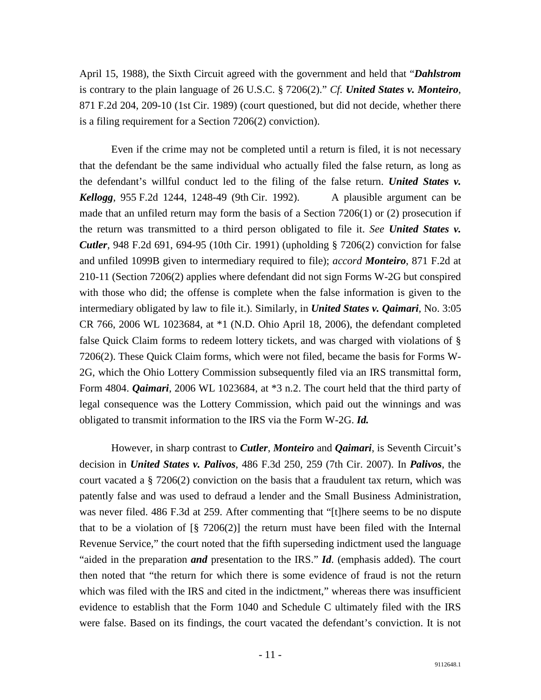April 15, 1988), the Sixth Circuit agreed with the government and held that "*Dahlstrom* is contrary to the plain language of 26 U.S.C. § 7206(2)." *Cf. United States v. Monteiro*, 871 F.2d 204, 209-10 (1st Cir. 1989) (court questioned, but did not decide, whether there is a filing requirement for a Section 7206(2) conviction).

 Even if the crime may not be completed until a return is filed, it is not necessary that the defendant be the same individual who actually filed the false return, as long as the defendant's willful conduct led to the filing of the false return. *United States v. Kellogg*, 955 F.2d 1244, 1248-49 (9th Cir. 1992). A plausible argument can be made that an unfiled return may form the basis of a Section 7206(1) or (2) prosecution if the return was transmitted to a third person obligated to file it. *See United States v. Cutler*, 948 F.2d 691, 694-95 (10th Cir. 1991) (upholding § 7206(2) conviction for false and unfiled 1099B given to intermediary required to file); *accord Monteiro*, 871 F.2d at 210-11 (Section 7206(2) applies where defendant did not sign Forms W-2G but conspired with those who did; the offense is complete when the false information is given to the intermediary obligated by law to file it.). Similarly, in *United States v. Qaimari*, No. 3:05 CR 766, 2006 WL 1023684, at \*1 (N.D. Ohio April 18, 2006), the defendant completed false Quick Claim forms to redeem lottery tickets, and was charged with violations of § 7206(2). These Quick Claim forms, which were not filed, became the basis for Forms W-2G, which the Ohio Lottery Commission subsequently filed via an IRS transmittal form, Form 4804. *Qaimari*, 2006 WL 1023684, at \*3 n.2. The court held that the third party of legal consequence was the Lottery Commission, which paid out the winnings and was obligated to transmit information to the IRS via the Form W-2G. *Id.*

 However, in sharp contrast to *Cutler*, *Monteiro* and *Qaimari*, is Seventh Circuit's decision in *United States v. Palivos*, 486 F.3d 250, 259 (7th Cir. 2007). In *Palivos*, the court vacated a  $\S 7206(2)$  conviction on the basis that a fraudulent tax return, which was patently false and was used to defraud a lender and the Small Business Administration, was never filed. 486 F.3d at 259. After commenting that "[t]here seems to be no dispute that to be a violation of  $\lceil \frac{8}{5} \rceil 7206(2) \rceil$  the return must have been filed with the Internal Revenue Service," the court noted that the fifth superseding indictment used the language "aided in the preparation *and* presentation to the IRS." *Id*. (emphasis added). The court then noted that "the return for which there is some evidence of fraud is not the return which was filed with the IRS and cited in the indictment," whereas there was insufficient evidence to establish that the Form 1040 and Schedule C ultimately filed with the IRS were false. Based on its findings, the court vacated the defendant's conviction. It is not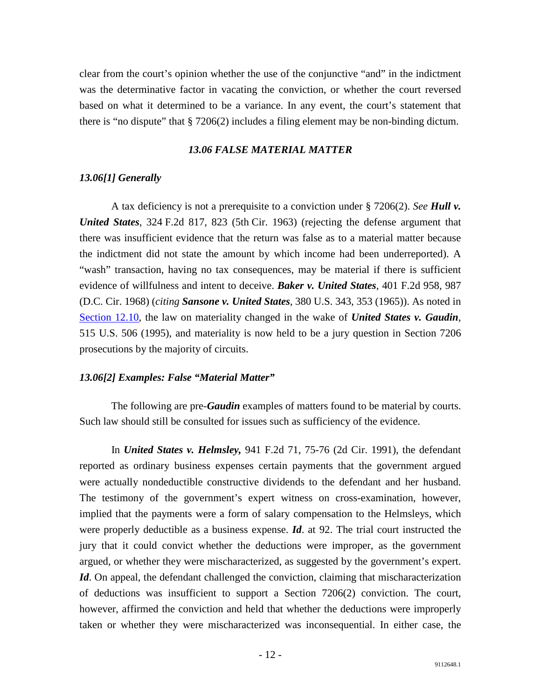clear from the court's opinion whether the use of the conjunctive "and" in the indictment was the determinative factor in vacating the conviction, or whether the court reversed based on what it determined to be a variance. In any event, the court's statement that there is "no dispute" that § 7206(2) includes a filing element may be non-binding dictum.

#### *13.06 FALSE MATERIAL MATTER*

### <span id="page-12-1"></span><span id="page-12-0"></span>*13.06[1] Generally*

 A tax deficiency is not a prerequisite to a conviction under § 7206(2). *See Hull v. United States*, 324 F.2d 817, 823 (5th Cir. 1963) (rejecting the defense argument that there was insufficient evidence that the return was false as to a material matter because the indictment did not state the amount by which income had been underreported). A "wash" transaction, having no tax consequences, may be material if there is sufficient evidence of willfulness and intent to deceive. *Baker v. United States*, 401 F.2d 958, 987 (D.C. Cir. 1968) (*citing Sansone v. United States*, 380 U.S. 343, 353 (1965)). As noted in [Section 12.10,](http://www.justice.gov/tax/readingroom/2008ctm/CTM%20Chapter%2012.pdf#TOC1_10) the law on materiality changed in the wake of *United States v. Gaudin*, 515 U.S. 506 (1995), and materiality is now held to be a jury question in Section 7206 prosecutions by the majority of circuits.

#### <span id="page-12-2"></span>*13.06[2] Examples: False "Material Matter"*

The following are pre-*Gaudin* examples of matters found to be material by courts. Such law should still be consulted for issues such as sufficiency of the evidence.

In *United States v. Helmsley,* 941 F.2d 71, 75-76 (2d Cir. 1991), the defendant reported as ordinary business expenses certain payments that the government argued were actually nondeductible constructive dividends to the defendant and her husband. The testimony of the government's expert witness on cross-examination, however, implied that the payments were a form of salary compensation to the Helmsleys, which were properly deductible as a business expense. *Id*. at 92. The trial court instructed the jury that it could convict whether the deductions were improper, as the government argued, or whether they were mischaracterized, as suggested by the government's expert. *Id*. On appeal, the defendant challenged the conviction, claiming that mischaracterization of deductions was insufficient to support a Section 7206(2) conviction. The court, however, affirmed the conviction and held that whether the deductions were improperly taken or whether they were mischaracterized was inconsequential. In either case, the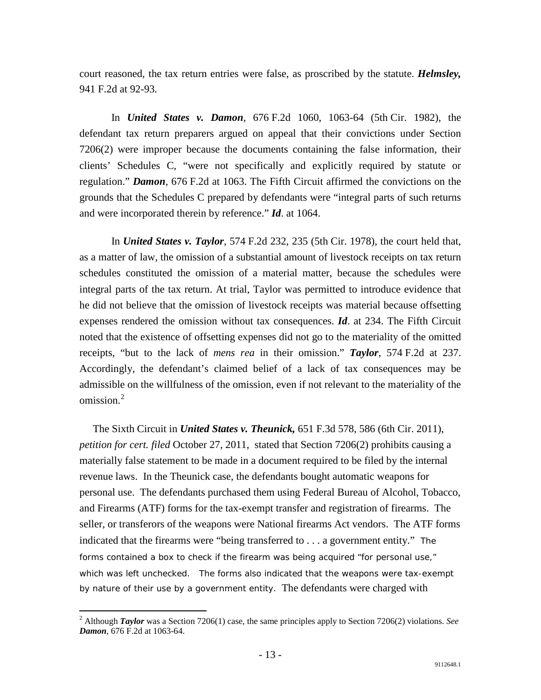court reasoned, the tax return entries were false, as proscribed by the statute. *Helmsley,*  941 F.2d at 92-93*.*

 In *United States v. Damon*, 676 F.2d 1060, 1063-64 (5th Cir. 1982), the defendant tax return preparers argued on appeal that their convictions under Section 7206(2) were improper because the documents containing the false information, their clients' Schedules C, "were not specifically and explicitly required by statute or regulation." *Damon*, 676 F.2d at 1063. The Fifth Circuit affirmed the convictions on the grounds that the Schedules C prepared by defendants were "integral parts of such returns and were incorporated therein by reference." *Id*. at 1064.

 In *United States v. Taylor*, 574 F.2d 232, 235 (5th Cir. 1978), the court held that, as a matter of law, the omission of a substantial amount of livestock receipts on tax return schedules constituted the omission of a material matter, because the schedules were integral parts of the tax return. At trial, Taylor was permitted to introduce evidence that he did not believe that the omission of livestock receipts was material because offsetting expenses rendered the omission without tax consequences. *Id*. at 234. The Fifth Circuit noted that the existence of offsetting expenses did not go to the materiality of the omitted receipts, "but to the lack of *mens rea* in their omission." *Taylor*, 574 F.2d at 237. Accordingly, the defendant's claimed belief of a lack of tax consequences may be admissible on the willfulness of the omission, even if not relevant to the materiality of the  $omission<sup>2</sup>$  $omission<sup>2</sup>$  $omission<sup>2</sup>$ 

The Sixth Circuit in *United States v. Theunick,* 651 F.3d 578, 586 (6th Cir. 2011), *petition for cert. filed* October 27, 2011, stated that Section 7206(2) prohibits causing a materially false statement to be made in a document required to be filed by the internal revenue laws. In the Theunick case, the defendants bought automatic weapons for personal use. The defendants purchased them using Federal Bureau of Alcohol, Tobacco, and Firearms (ATF) forms for the tax-exempt transfer and registration of firearms. The seller, or transferors of the weapons were National firearms Act vendors. The ATF forms indicated that the firearms were "being transferred to . . . a government entity." The forms contained a box to check if the firearm was being acquired "for personal use," which was left unchecked. The forms also indicated that the weapons were tax-exempt by nature of their use by a government entity. The defendants were charged with

<span id="page-13-0"></span> <sup>2</sup> Although *Taylor* was a Section 7206(1) case, the same principles apply to Section 7206(2) violations. *See Damon*, 676 F.2d at 1063-64.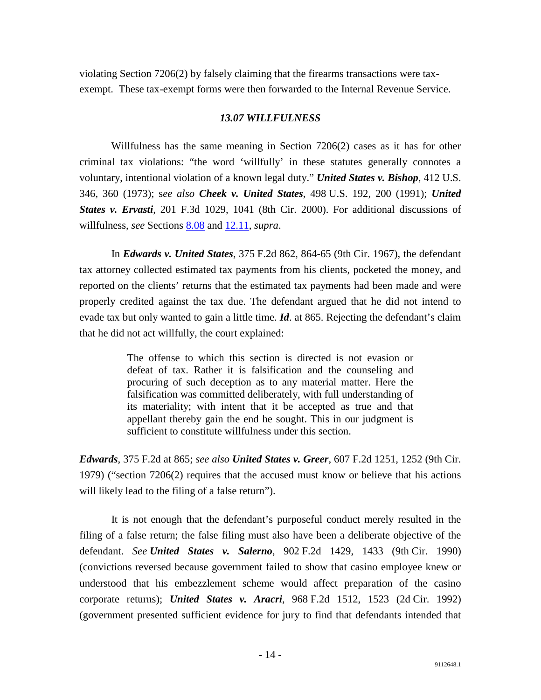<span id="page-14-0"></span>violating Section 7206(2) by falsely claiming that the firearms transactions were taxexempt. These tax-exempt forms were then forwarded to the Internal Revenue Service.

## *13.07 WILLFULNESS*

 Willfulness has the same meaning in Section 7206(2) cases as it has for other criminal tax violations: "the word 'willfully' in these statutes generally connotes a voluntary, intentional violation of a known legal duty." *United States v. Bishop*, 412 U.S. 346, 360 (1973); s*ee also Cheek v. United States*, 498 U.S. 192, 200 (1991); *United States v. Ervasti*, 201 F.3d 1029, 1041 (8th Cir. 2000). For additional discussions of willfulness, *see* Sections [8.08](http://www.justice.gov/tax/readingroom/2008ctm/CTM%20Chapter%208.pdf#TOC1_8) and [12.11,](http://www.justice.gov/tax/readingroom/2008ctm/CTM%20Chapter%2012.pdf#TOC1_11) *supra*.

 In *Edwards v. United States*, 375 F.2d 862, 864-65 (9th Cir. 1967), the defendant tax attorney collected estimated tax payments from his clients, pocketed the money, and reported on the clients' returns that the estimated tax payments had been made and were properly credited against the tax due. The defendant argued that he did not intend to evade tax but only wanted to gain a little time. *Id*. at 865. Rejecting the defendant's claim that he did not act willfully, the court explained:

> The offense to which this section is directed is not evasion or defeat of tax. Rather it is falsification and the counseling and procuring of such deception as to any material matter. Here the falsification was committed deliberately, with full understanding of its materiality; with intent that it be accepted as true and that appellant thereby gain the end he sought. This in our judgment is sufficient to constitute willfulness under this section.

*Edwards*, 375 F.2d at 865; *see also United States v. Greer*, 607 F.2d 1251, 1252 (9th Cir. 1979) ("section 7206(2) requires that the accused must know or believe that his actions will likely lead to the filing of a false return").

 It is not enough that the defendant's purposeful conduct merely resulted in the filing of a false return; the false filing must also have been a deliberate objective of the defendant. *See United States v. Salerno*, 902 F.2d 1429, 1433 (9th Cir. 1990) (convictions reversed because government failed to show that casino employee knew or understood that his embezzlement scheme would affect preparation of the casino corporate returns); *United States v. Aracri*, 968 F.2d 1512, 1523 (2d Cir. 1992) (government presented sufficient evidence for jury to find that defendants intended that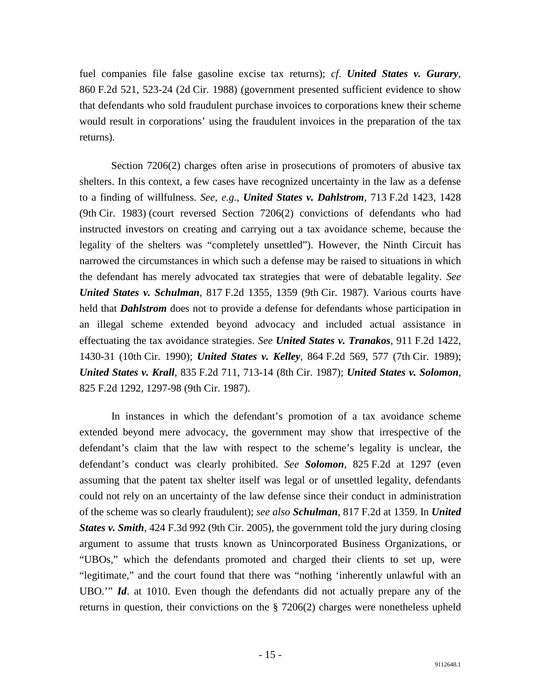fuel companies file false gasoline excise tax returns); *cf*. *United States v. Gurary*, 860 F.2d 521, 523-24 (2d Cir. 1988) (government presented sufficient evidence to show that defendants who sold fraudulent purchase invoices to corporations knew their scheme would result in corporations' using the fraudulent invoices in the preparation of the tax returns).

 Section 7206(2) charges often arise in prosecutions of promoters of abusive tax shelters. In this context, a few cases have recognized uncertainty in the law as a defense to a finding of willfulness. *See*, *e.g.*, *United States v. Dahlstrom*, 713 F.2d 1423, 1428 (9th Cir. 1983) (court reversed Section 7206(2) convictions of defendants who had instructed investors on creating and carrying out a tax avoidance scheme, because the legality of the shelters was "completely unsettled"). However, the Ninth Circuit has narrowed the circumstances in which such a defense may be raised to situations in which the defendant has merely advocated tax strategies that were of debatable legality. *See United States v. Schulman*, 817 F.2d 1355, 1359 (9th Cir. 1987). Various courts have held that *Dahlstrom* does not to provide a defense for defendants whose participation in an illegal scheme extended beyond advocacy and included actual assistance in effectuating the tax avoidance strategies. *See United States v. Tranakos*, 911 F.2d 1422, 1430-31 (10th Cir. 1990); *United States v. Kelley*, 864 F.2d 569, 577 (7th Cir. 1989); *United States v. Krall*, 835 F.2d 711, 713-14 (8th Cir. 1987); *United States v. Solomon*, 825 F.2d 1292, 1297-98 (9th Cir. 1987).

 In instances in which the defendant's promotion of a tax avoidance scheme extended beyond mere advocacy, the government may show that irrespective of the defendant's claim that the law with respect to the scheme's legality is unclear, the defendant's conduct was clearly prohibited. *See Solomon*, 825 F.2d at 1297 (even assuming that the patent tax shelter itself was legal or of unsettled legality, defendants could not rely on an uncertainty of the law defense since their conduct in administration of the scheme was so clearly fraudulent); *see also Schulman*, 817 F.2d at 1359. In *United States v. Smith*, 424 F.3d 992 (9th Cir. 2005), the government told the jury during closing argument to assume that trusts known as Unincorporated Business Organizations, or "UBOs," which the defendants promoted and charged their clients to set up, were "legitimate," and the court found that there was "nothing 'inherently unlawful with an UBO.'" *Id*. at 1010. Even though the defendants did not actually prepare any of the returns in question, their convictions on the § 7206(2) charges were nonetheless upheld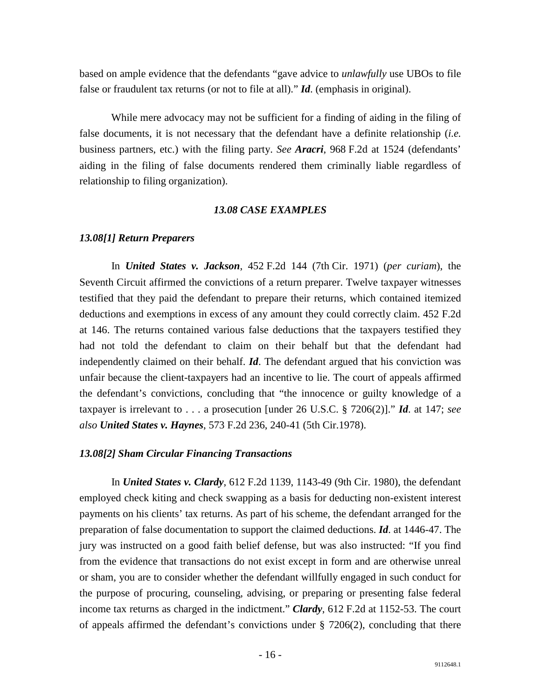based on ample evidence that the defendants "gave advice to *unlawfully* use UBOs to file false or fraudulent tax returns (or not to file at all)." *Id*. (emphasis in original).

 While mere advocacy may not be sufficient for a finding of aiding in the filing of false documents, it is not necessary that the defendant have a definite relationship (*i.e.* business partners, etc.) with the filing party. *See Aracri*, 968 F.2d at 1524 (defendants' aiding in the filing of false documents rendered them criminally liable regardless of relationship to filing organization).

### *13.08 CASE EXAMPLES*

## <span id="page-16-1"></span><span id="page-16-0"></span>*13.08[1] Return Preparers*

 In *United States v. Jackson*, 452 F.2d 144 (7th Cir. 1971) (*per curiam*), the Seventh Circuit affirmed the convictions of a return preparer. Twelve taxpayer witnesses testified that they paid the defendant to prepare their returns, which contained itemized deductions and exemptions in excess of any amount they could correctly claim. 452 F.2d at 146. The returns contained various false deductions that the taxpayers testified they had not told the defendant to claim on their behalf but that the defendant had independently claimed on their behalf. *Id*. The defendant argued that his conviction was unfair because the client-taxpayers had an incentive to lie. The court of appeals affirmed the defendant's convictions, concluding that "the innocence or guilty knowledge of a taxpayer is irrelevant to . . . a prosecution [under 26 U.S.C. § 7206(2)]." *Id*. at 147; *see also United States v. Haynes*, 573 F.2d 236, 240-41 (5th Cir.1978).

## <span id="page-16-2"></span>*13.08[2] Sham Circular Financing Transactions*

 In *United States v. Clardy*, 612 F.2d 1139, 1143-49 (9th Cir. 1980), the defendant employed check kiting and check swapping as a basis for deducting non-existent interest payments on his clients' tax returns. As part of his scheme, the defendant arranged for the preparation of false documentation to support the claimed deductions. *Id*. at 1446-47. The jury was instructed on a good faith belief defense, but was also instructed: "If you find from the evidence that transactions do not exist except in form and are otherwise unreal or sham, you are to consider whether the defendant willfully engaged in such conduct for the purpose of procuring, counseling, advising, or preparing or presenting false federal income tax returns as charged in the indictment." *Clardy*, 612 F.2d at 1152-53. The court of appeals affirmed the defendant's convictions under  $\S$  7206(2), concluding that there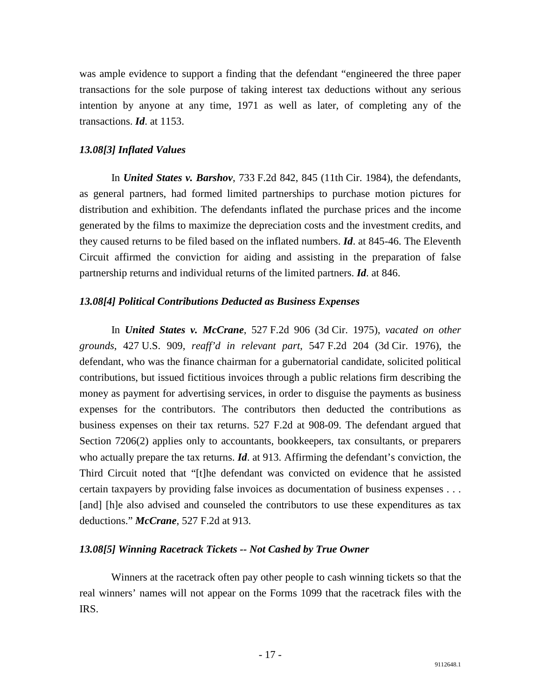was ample evidence to support a finding that the defendant "engineered the three paper transactions for the sole purpose of taking interest tax deductions without any serious intention by anyone at any time, 1971 as well as later, of completing any of the transactions. *Id*. at 1153.

## <span id="page-17-0"></span>*13.08[3] Inflated Values*

 In *United States v. Barshov*, 733 F.2d 842, 845 (11th Cir. 1984), the defendants, as general partners, had formed limited partnerships to purchase motion pictures for distribution and exhibition. The defendants inflated the purchase prices and the income generated by the films to maximize the depreciation costs and the investment credits, and they caused returns to be filed based on the inflated numbers. *Id*. at 845-46. The Eleventh Circuit affirmed the conviction for aiding and assisting in the preparation of false partnership returns and individual returns of the limited partners. *Id*. at 846.

### <span id="page-17-1"></span>*13.08[4] Political Contributions Deducted as Business Expenses*

 In *United States v. McCrane*, 527 F.2d 906 (3d Cir. 1975), *vacated on other grounds*, 427 U.S. 909, *reaff'd in relevant part*, 547 F.2d 204 (3d Cir. 1976), the defendant, who was the finance chairman for a gubernatorial candidate, solicited political contributions, but issued fictitious invoices through a public relations firm describing the money as payment for advertising services, in order to disguise the payments as business expenses for the contributors. The contributors then deducted the contributions as business expenses on their tax returns. 527 F.2d at 908-09. The defendant argued that Section 7206(2) applies only to accountants, bookkeepers, tax consultants, or preparers who actually prepare the tax returns. *Id*. at 913. Affirming the defendant's conviction, the Third Circuit noted that "[t]he defendant was convicted on evidence that he assisted certain taxpayers by providing false invoices as documentation of business expenses . . . [and] [h]e also advised and counseled the contributors to use these expenditures as tax deductions." *McCrane*, 527 F.2d at 913.

### <span id="page-17-2"></span>*13.08[5] Winning Racetrack Tickets -- Not Cashed by True Owner*

 Winners at the racetrack often pay other people to cash winning tickets so that the real winners' names will not appear on the Forms 1099 that the racetrack files with the IRS.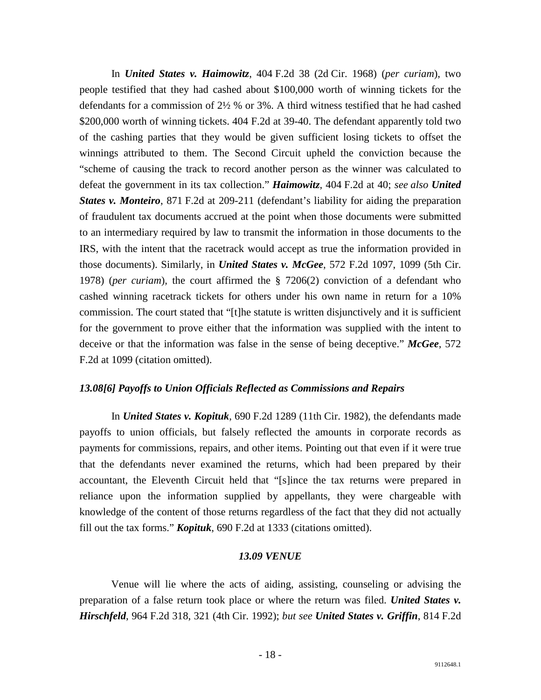In *United States v. Haimowitz*, 404 F.2d 38 (2d Cir. 1968) (*per curiam*), two people testified that they had cashed about \$100,000 worth of winning tickets for the defendants for a commission of 2½ % or 3%. A third witness testified that he had cashed \$200,000 worth of winning tickets. 404 F.2d at 39-40. The defendant apparently told two of the cashing parties that they would be given sufficient losing tickets to offset the winnings attributed to them. The Second Circuit upheld the conviction because the "scheme of causing the track to record another person as the winner was calculated to defeat the government in its tax collection." *Haimowitz*, 404 F.2d at 40; *see also United States v. Monteiro,* 871 F.2d at 209-211 (defendant's liability for aiding the preparation of fraudulent tax documents accrued at the point when those documents were submitted to an intermediary required by law to transmit the information in those documents to the IRS, with the intent that the racetrack would accept as true the information provided in those documents). Similarly, in *United States v. McGee*, 572 F.2d 1097, 1099 (5th Cir. 1978) (*per curiam*), the court affirmed the § 7206(2) conviction of a defendant who cashed winning racetrack tickets for others under his own name in return for a 10% commission. The court stated that "[t]he statute is written disjunctively and it is sufficient for the government to prove either that the information was supplied with the intent to deceive or that the information was false in the sense of being deceptive." *McGee*, 572 F.2d at 1099 (citation omitted).

## <span id="page-18-0"></span>*13.08[6] Payoffs to Union Officials Reflected as Commissions and Repairs*

 In *United States v. Kopituk*, 690 F.2d 1289 (11th Cir. 1982), the defendants made payoffs to union officials, but falsely reflected the amounts in corporate records as payments for commissions, repairs, and other items. Pointing out that even if it were true that the defendants never examined the returns, which had been prepared by their accountant, the Eleventh Circuit held that "[s]ince the tax returns were prepared in reliance upon the information supplied by appellants, they were chargeable with knowledge of the content of those returns regardless of the fact that they did not actually fill out the tax forms." *Kopituk*, 690 F.2d at 1333 (citations omitted).

## *13.09 VENUE*

<span id="page-18-1"></span> Venue will lie where the acts of aiding, assisting, counseling or advising the preparation of a false return took place or where the return was filed. *United States v. Hirschfeld*, 964 F.2d 318, 321 (4th Cir. 1992); *but see United States v. Griffin*, 814 F.2d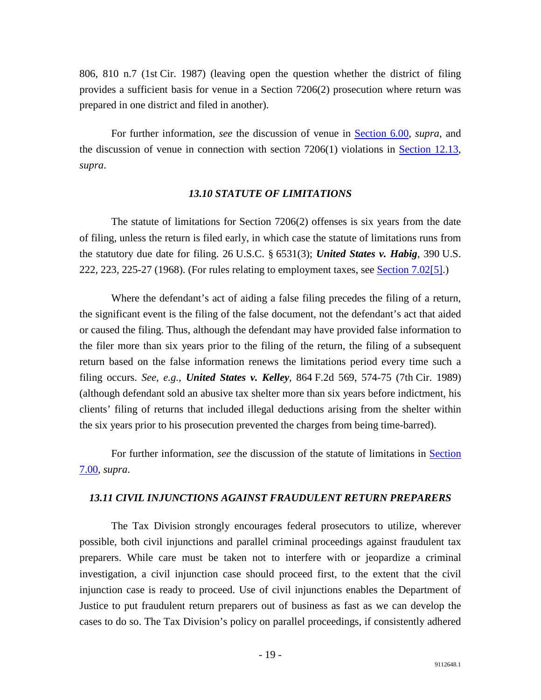806, 810 n.7 (1st Cir. 1987) (leaving open the question whether the district of filing provides a sufficient basis for venue in a Section 7206(2) prosecution where return was prepared in one district and filed in another).

 For further information, *see* the discussion of venue in [Section 6.00,](http://www.justice.gov/tax/readingroom/2008ctm/CTM%20Chapter%206%20Venue.pdf) *supra*, and the discussion of venue in connection with section  $7206(1)$  violations in [Section 12.13,](http://www.justice.gov/tax/readingroom/2008ctm/CTM%20Chapter%2012.pdf#TOC1_13) *supra*.

### *13.10 STATUTE OF LIMITATIONS*

<span id="page-19-0"></span> The statute of limitations for Section 7206(2) offenses is six years from the date of filing, unless the return is filed early, in which case the statute of limitations runs from the statutory due date for filing. 26 U.S.C. § 6531(3); *United States v. Habig*, 390 U.S. 222, 223, 225-27 (1968). (For rules relating to employment taxes, see [Section 7.02\[5\].](http://www.justice.gov/tax/readingroom/2008ctm/CTM%20Chapter%207%20SOL.pdf#TOC2_7))

 Where the defendant's act of aiding a false filing precedes the filing of a return, the significant event is the filing of the false document, not the defendant's act that aided or caused the filing. Thus, although the defendant may have provided false information to the filer more than six years prior to the filing of the return, the filing of a subsequent return based on the false information renews the limitations period every time such a filing occurs. *See*, *e.g.*, *United States v. Kelley*, 864 F.2d 569, 574-75 (7th Cir. 1989) (although defendant sold an abusive tax shelter more than six years before indictment, his clients' filing of returns that included illegal deductions arising from the shelter within the six years prior to his prosecution prevented the charges from being time-barred).

 For further information, *see* the discussion of the statute of limitations in [Section](http://www.justice.gov/tax/readingroom/2008ctm/CTM%20Chapter%207%20SOL.pdf)  [7.00,](http://www.justice.gov/tax/readingroom/2008ctm/CTM%20Chapter%207%20SOL.pdf) *supra*.

### <span id="page-19-1"></span>*13.11 CIVIL INJUNCTIONS AGAINST FRAUDULENT RETURN PREPARERS*

 The Tax Division strongly encourages federal prosecutors to utilize, wherever possible, both civil injunctions and parallel criminal proceedings against fraudulent tax preparers. While care must be taken not to interfere with or jeopardize a criminal investigation, a civil injunction case should proceed first, to the extent that the civil injunction case is ready to proceed. Use of civil injunctions enables the Department of Justice to put fraudulent return preparers out of business as fast as we can develop the cases to do so. The Tax Division's policy on parallel proceedings, if consistently adhered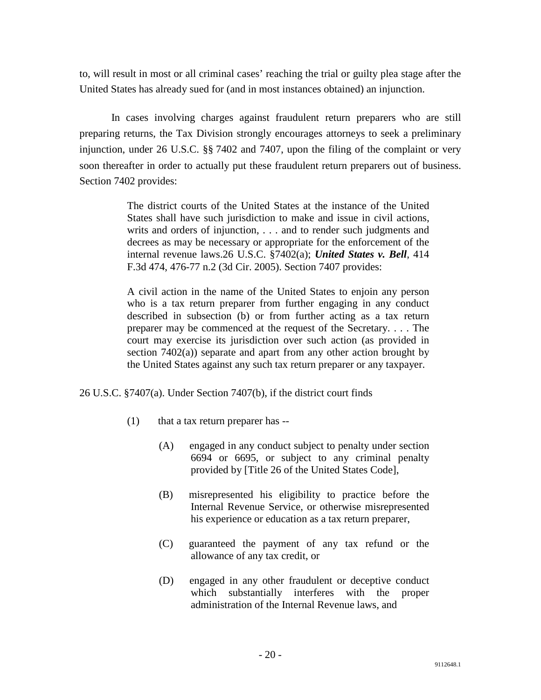to, will result in most or all criminal cases' reaching the trial or guilty plea stage after the United States has already sued for (and in most instances obtained) an injunction.

 In cases involving charges against fraudulent return preparers who are still preparing returns, the Tax Division strongly encourages attorneys to seek a preliminary injunction, under 26 U.S.C. §§ 7402 and 7407, upon the filing of the complaint or very soon thereafter in order to actually put these fraudulent return preparers out of business. Section 7402 provides:

> The district courts of the United States at the instance of the United States shall have such jurisdiction to make and issue in civil actions, writs and orders of injunction, . . . and to render such judgments and decrees as may be necessary or appropriate for the enforcement of the internal revenue laws.26 U.S.C. §7402(a); *United States v. Bell*, 414 F.3d 474, 476-77 n.2 (3d Cir. 2005). Section 7407 provides:

> A civil action in the name of the United States to enjoin any person who is a tax return preparer from further engaging in any conduct described in subsection (b) or from further acting as a tax return preparer may be commenced at the request of the Secretary. . . . The court may exercise its jurisdiction over such action (as provided in section 7402(a)) separate and apart from any other action brought by the United States against any such tax return preparer or any taxpayer.

26 U.S.C. §7407(a). Under Section 7407(b), if the district court finds

- (1) that a tax return preparer has --
	- (A) engaged in any conduct subject to penalty under section 6694 or 6695, or subject to any criminal penalty provided by [Title 26 of the United States Code],
	- (B) misrepresented his eligibility to practice before the Internal Revenue Service, or otherwise misrepresented his experience or education as a tax return preparer,
	- (C) guaranteed the payment of any tax refund or the allowance of any tax credit, or
	- (D) engaged in any other fraudulent or deceptive conduct which substantially interferes with the proper administration of the Internal Revenue laws, and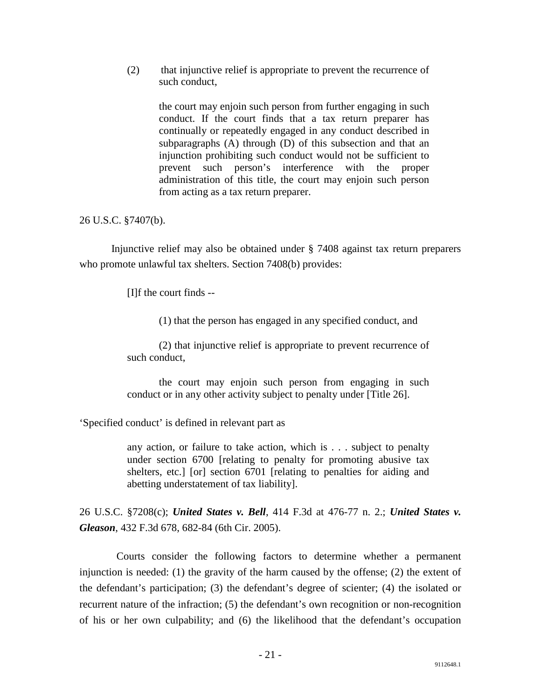(2) that injunctive relief is appropriate to prevent the recurrence of such conduct,

> the court may enjoin such person from further engaging in such conduct. If the court finds that a tax return preparer has continually or repeatedly engaged in any conduct described in subparagraphs (A) through (D) of this subsection and that an injunction prohibiting such conduct would not be sufficient to prevent such person's interference with the proper administration of this title, the court may enjoin such person from acting as a tax return preparer.

## 26 U.S.C. §7407(b).

 Injunctive relief may also be obtained under § 7408 against tax return preparers who promote unlawful tax shelters. Section 7408(b) provides:

[I]f the court finds --

(1) that the person has engaged in any specified conduct, and

 (2) that injunctive relief is appropriate to prevent recurrence of such conduct,

 the court may enjoin such person from engaging in such conduct or in any other activity subject to penalty under [Title 26].

'Specified conduct' is defined in relevant part as

any action, or failure to take action, which is . . . subject to penalty under section 6700 [relating to penalty for promoting abusive tax shelters, etc.] [or] section 6701 [relating to penalties for aiding and abetting understatement of tax liability].

26 U.S.C. §7208(c); *United States v. Bell*, 414 F.3d at 476-77 n. 2.; *United States v. Gleason*, 432 F.3d 678, 682-84 (6th Cir. 2005).

 Courts consider the following factors to determine whether a permanent injunction is needed: (1) the gravity of the harm caused by the offense; (2) the extent of the defendant's participation; (3) the defendant's degree of scienter; (4) the isolated or recurrent nature of the infraction; (5) the defendant's own recognition or non-recognition of his or her own culpability; and (6) the likelihood that the defendant's occupation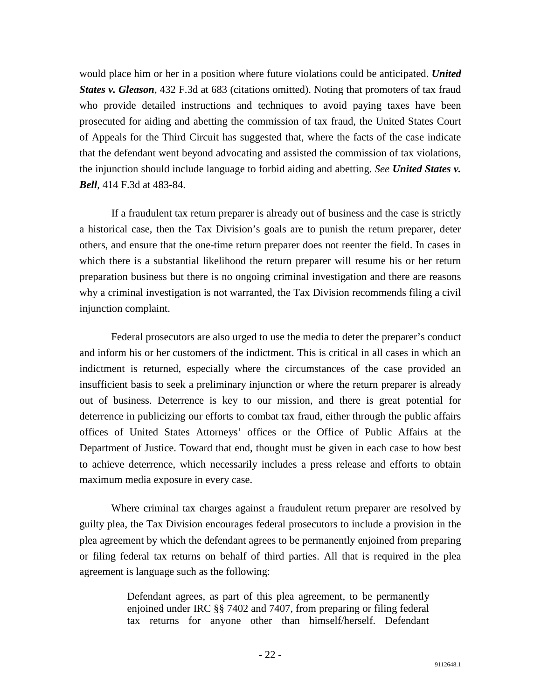would place him or her in a position where future violations could be anticipated. *United States v. Gleason*, 432 F.3d at 683 (citations omitted). Noting that promoters of tax fraud who provide detailed instructions and techniques to avoid paying taxes have been prosecuted for aiding and abetting the commission of tax fraud, the United States Court of Appeals for the Third Circuit has suggested that, where the facts of the case indicate that the defendant went beyond advocating and assisted the commission of tax violations, the injunction should include language to forbid aiding and abetting. *See United States v. Bell*, 414 F.3d at 483-84.

 If a fraudulent tax return preparer is already out of business and the case is strictly a historical case, then the Tax Division's goals are to punish the return preparer, deter others, and ensure that the one-time return preparer does not reenter the field. In cases in which there is a substantial likelihood the return preparer will resume his or her return preparation business but there is no ongoing criminal investigation and there are reasons why a criminal investigation is not warranted, the Tax Division recommends filing a civil injunction complaint.

 Federal prosecutors are also urged to use the media to deter the preparer's conduct and inform his or her customers of the indictment. This is critical in all cases in which an indictment is returned, especially where the circumstances of the case provided an insufficient basis to seek a preliminary injunction or where the return preparer is already out of business. Deterrence is key to our mission, and there is great potential for deterrence in publicizing our efforts to combat tax fraud, either through the public affairs offices of United States Attorneys' offices or the Office of Public Affairs at the Department of Justice. Toward that end, thought must be given in each case to how best to achieve deterrence, which necessarily includes a press release and efforts to obtain maximum media exposure in every case.

 Where criminal tax charges against a fraudulent return preparer are resolved by guilty plea, the Tax Division encourages federal prosecutors to include a provision in the plea agreement by which the defendant agrees to be permanently enjoined from preparing or filing federal tax returns on behalf of third parties. All that is required in the plea agreement is language such as the following:

> Defendant agrees, as part of this plea agreement, to be permanently enjoined under IRC §§ 7402 and 7407, from preparing or filing federal tax returns for anyone other than himself/herself. Defendant